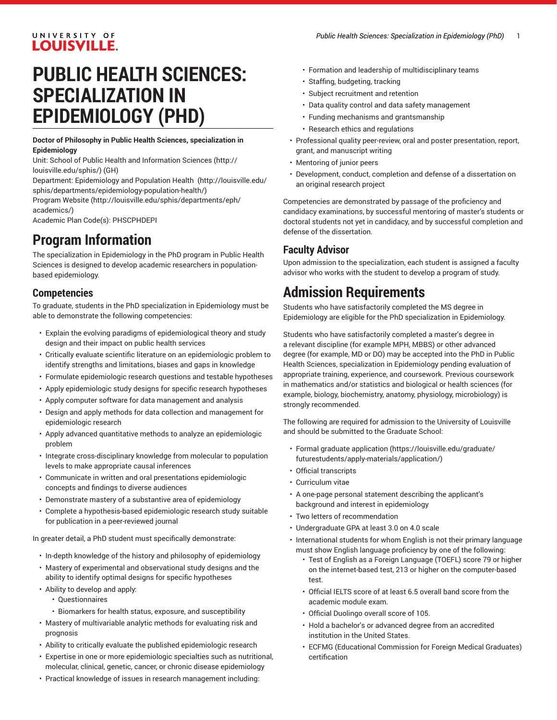## UNIVERSITY OF **LOUISVILLE.**

# **PUBLIC HEALTH SCIENCES: SPECIALIZATION IN EPIDEMIOLOGY (PHD)**

#### **Doctor of Philosophy in Public Health Sciences, specialization in Epidemiology**

Unit: [School of Public Health and Information Sciences](http://louisville.edu/sphis/) ([http://](http://louisville.edu/sphis/) [louisville.edu/sphis/](http://louisville.edu/sphis/)) (GH)

Department: [Epidemiology](http://louisville.edu/sphis/departments/epidemiology-population-health/) and Population Health ([http://louisville.edu/](http://louisville.edu/sphis/departments/epidemiology-population-health/) [sphis/departments/epidemiology-population-health/\)](http://louisville.edu/sphis/departments/epidemiology-population-health/)

[Program](http://louisville.edu/sphis/departments/eph/academics/) Website [\(http://louisville.edu/sphis/departments/eph/](http://louisville.edu/sphis/departments/eph/academics/) [academics/\)](http://louisville.edu/sphis/departments/eph/academics/)

Academic Plan Code(s): PHSCPHDEPI

## **Program Information**

The specialization in Epidemiology in the PhD program in Public Health Sciences is designed to develop academic researchers in populationbased epidemiology.

## **Competencies**

To graduate, students in the PhD specialization in Epidemiology must be able to demonstrate the following competencies:

- Explain the evolving paradigms of epidemiological theory and study design and their impact on public health services
- Critically evaluate scientific literature on an epidemiologic problem to identify strengths and limitations, biases and gaps in knowledge
- Formulate epidemiologic research questions and testable hypotheses
- Apply epidemiologic study designs for specific research hypotheses
- Apply computer software for data management and analysis
- Design and apply methods for data collection and management for epidemiologic research
- Apply advanced quantitative methods to analyze an epidemiologic problem
- Integrate cross-disciplinary knowledge from molecular to population levels to make appropriate causal inferences
- Communicate in written and oral presentations epidemiologic concepts and findings to diverse audiences
- Demonstrate mastery of a substantive area of epidemiology
- Complete a hypothesis-based epidemiologic research study suitable for publication in a peer-reviewed journal

In greater detail, a PhD student must specifically demonstrate:

- In-depth knowledge of the history and philosophy of epidemiology
- Mastery of experimental and observational study designs and the ability to identify optimal designs for specific hypotheses
- Ability to develop and apply:
	- Questionnaires
	- Biomarkers for health status, exposure, and susceptibility
- Mastery of multivariable analytic methods for evaluating risk and prognosis
- Ability to critically evaluate the published epidemiologic research
- Expertise in one or more epidemiologic specialties such as nutritional, molecular, clinical, genetic, cancer, or chronic disease epidemiology
- Practical knowledge of issues in research management including:
- Formation and leadership of multidisciplinary teams
- Staffing, budgeting, tracking
- Subject recruitment and retention
- Data quality control and data safety management
- Funding mechanisms and grantsmanship
- Research ethics and regulations
- Professional quality peer-review, oral and poster presentation, report, grant, and manuscript writing
- Mentoring of junior peers
- Development, conduct, completion and defense of a dissertation on an original research project

Competencies are demonstrated by passage of the proficiency and candidacy examinations, by successful mentoring of master's students or doctoral students not yet in candidacy, and by successful completion and defense of the dissertation.

## **Faculty Advisor**

Upon admission to the specialization, each student is assigned a faculty advisor who works with the student to develop a program of study.

## **Admission Requirements**

Students who have satisfactorily completed the MS degree in Epidemiology are eligible for the PhD specialization in Epidemiology.

Students who have satisfactorily completed a master's degree in a relevant discipline (for example MPH, MBBS) or other advanced degree (for example, MD or DO) may be accepted into the PhD in Public Health Sciences, specialization in Epidemiology pending evaluation of appropriate training, experience, and coursework. Previous coursework in mathematics and/or statistics and biological or health sciences (for example, biology, biochemistry, anatomy, physiology, microbiology) is strongly recommended.

The following are required for admission to the University of Louisville and should be submitted to the Graduate School:

- Formal [graduate application \(https://louisville.edu/graduate/](https://louisville.edu/graduate/futurestudents/apply-materials/application/) [futurestudents/apply-materials/application/\)](https://louisville.edu/graduate/futurestudents/apply-materials/application/)
- Official transcripts
- Curriculum vitae
- A one-page personal statement describing the applicant's background and interest in epidemiology
- Two letters of recommendation
- Undergraduate GPA at least 3.0 on 4.0 scale
- International students for whom English is not their primary language must show English language proficiency by one of the following:
	- Test of English as a Foreign Language (TOEFL) score 79 or higher on the internet-based test, 213 or higher on the computer-based test.
	- Official IELTS score of at least 6.5 overall band score from the academic module exam.
	- Official Duolingo overall score of 105.
	- Hold a bachelor's or advanced degree from an accredited institution in the United States.
	- ECFMG (Educational Commission for Foreign Medical Graduates) certification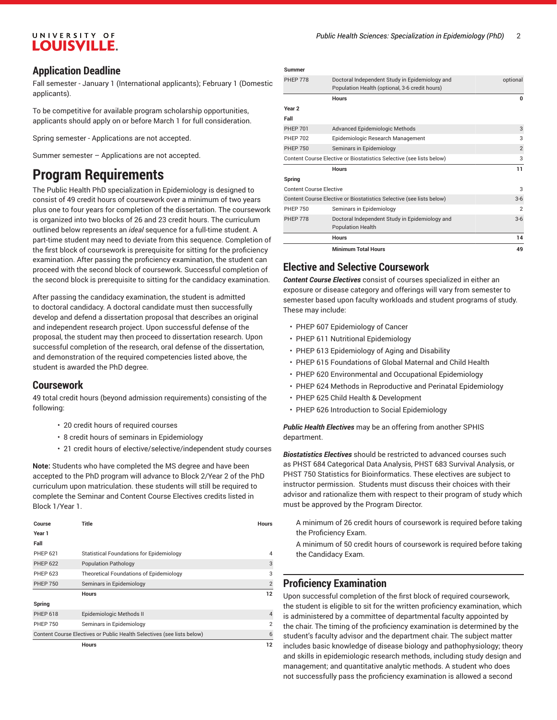## UNIVERSITY OF **LOUISVILLE.**

### **Application Deadline**

Fall semester - January 1 (International applicants); February 1 (Domestic applicants).

To be competitive for available program scholarship opportunities, applicants should apply on or before March 1 for full consideration.

Spring semester - Applications are not accepted.

Summer semester – Applications are not accepted.

## **Program Requirements**

The Public Health PhD specialization in Epidemiology is designed to consist of 49 credit hours of coursework over a minimum of two years plus one to four years for completion of the dissertation. The coursework is organized into two blocks of 26 and 23 credit hours. The curriculum outlined below represents an *ideal* sequence for a full-time student. A part-time student may need to deviate from this sequence. Completion of the first block of coursework is prerequisite for sitting for the proficiency examination. After passing the proficiency examination, the student can proceed with the second block of coursework. Successful completion of the second block is prerequisite to sitting for the candidacy examination.

After passing the candidacy examination, the student is admitted to doctoral candidacy. A doctoral candidate must then successfully develop and defend a dissertation proposal that describes an original and independent research project. Upon successful defense of the proposal, the student may then proceed to dissertation research. Upon successful completion of the research, oral defense of the dissertation, and demonstration of the required competencies listed above, the student is awarded the PhD degree.

#### **Coursework**

49 total credit hours (beyond admission requirements) consisting of the following:

- 20 credit hours of required courses
- 8 credit hours of seminars in Epidemiology
- 21 credit hours of elective/selective/independent study courses

**Note:** Students who have completed the MS degree and have been accepted to the PhD program will advance to Block 2/Year 2 of the PhD curriculum upon matriculation. these students will still be required to complete the Seminar and Content Course Electives credits listed in Block 1/Year 1.

| Course                                                                 | Title                                    | <b>Hours</b>   |
|------------------------------------------------------------------------|------------------------------------------|----------------|
| Year 1                                                                 |                                          |                |
| Fall                                                                   |                                          |                |
| <b>PHEP 621</b>                                                        | Statistical Foundations for Epidemiology | 4              |
| <b>PHEP 622</b>                                                        | <b>Population Pathology</b>              | 3              |
| <b>PHEP 623</b>                                                        | Theoretical Foundations of Epidemiology  | 3              |
| <b>PHEP 750</b>                                                        | Seminars in Epidemiology                 | $\overline{2}$ |
|                                                                        | <b>Hours</b>                             | 12             |
| Spring                                                                 |                                          |                |
| <b>PHEP 618</b>                                                        | Epidemiologic Methods II                 | $\overline{4}$ |
| <b>PHEP 750</b>                                                        | Seminars in Epidemiology                 | $\overline{2}$ |
| Content Course Electives or Public Health Selectives (see lists below) |                                          |                |
|                                                                        | <b>Hours</b>                             | 12             |

| <b>Summer</b>                  |                                                                                                  |                |
|--------------------------------|--------------------------------------------------------------------------------------------------|----------------|
| <b>PHEP 778</b>                | Doctoral Independent Study in Epidemiology and<br>Population Health (optional, 3-6 credit hours) | optional       |
|                                | <b>Hours</b>                                                                                     | $\bf{0}$       |
| Year <sub>2</sub>              |                                                                                                  |                |
| Fall                           |                                                                                                  |                |
| <b>PHEP 701</b>                | Advanced Epidemiologic Methods                                                                   | 3              |
| <b>PHEP 702</b>                | Epidemiologic Research Management                                                                | 3              |
| <b>PHEP 750</b>                | Seminars in Epidemiology                                                                         | $\overline{2}$ |
|                                | Content Course Elective or Biostatistics Selective (see lists below)                             | 3              |
|                                | <b>Hours</b>                                                                                     | 11             |
| Spring                         |                                                                                                  |                |
| <b>Content Course Elective</b> |                                                                                                  | 3              |
|                                | Content Course Elective or Biostatistics Selective (see lists below)                             | $3 - 6$        |
| <b>PHEP 750</b>                | Seminars in Epidemiology                                                                         | $\overline{2}$ |
| <b>PHEP 778</b>                | Doctoral Independent Study in Epidemiology and<br><b>Population Health</b>                       | $3-6$          |
|                                | <b>Hours</b>                                                                                     | 14             |
|                                | <b>Minimum Total Hours</b>                                                                       | 49             |

### **Elective and Selective Coursework**

*Content Course Electives* consist of courses specialized in either an exposure or disease category and offerings will vary from semester to semester based upon faculty workloads and student programs of study. These may include:

- PHEP 607 Epidemiology of Cancer
- PHEP 611 Nutritional Epidemiology
- PHEP 613 Epidemiology of Aging and Disability
- PHEP 615 Foundations of Global Maternal and Child Health
- PHEP 620 Environmental and Occupational Epidemiology
- PHEP 624 Methods in Reproductive and Perinatal Epidemiology
- PHEP 625 Child Health & Development
- PHEP 626 Introduction to Social Epidemiology

*Public Health Electives* may be an offering from another SPHIS department.

*Biostatistics Electives* should be restricted to advanced courses such as PHST 684 Categorical Data Analysis, PHST 683 Survival Analysis, or PHST 750 Statistics for Bioinformatics. These electives are subject to instructor permission. Students must discuss their choices with their advisor and rationalize them with respect to their program of study which must be approved by the Program Director.

A minimum of 26 credit hours of coursework is required before taking the Proficiency Exam.

A minimum of 50 credit hours of coursework is required before taking the Candidacy Exam.

### **Proficiency Examination**

Upon successful completion of the first block of required coursework, the student is eligible to sit for the written proficiency examination, which is administered by a committee of departmental faculty appointed by the chair. The timing of the proficiency examination is determined by the student's faculty advisor and the department chair. The subject matter includes basic knowledge of disease biology and pathophysiology; theory and skills in epidemiologic research methods, including study design and management; and quantitative analytic methods. A student who does not successfully pass the proficiency examination is allowed a second